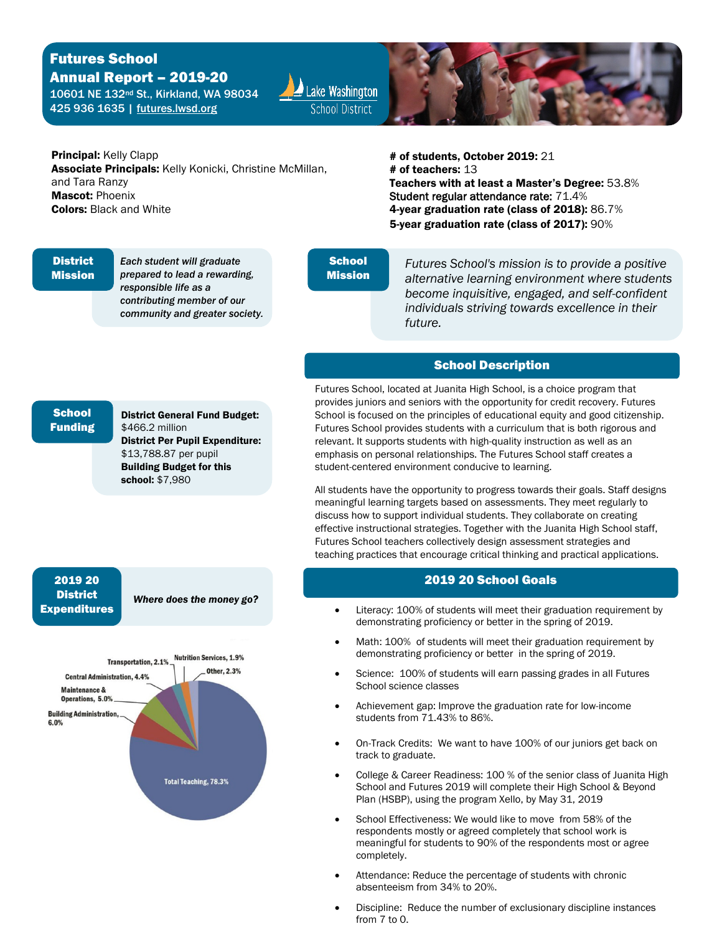# Futures School

 Annual Report – 2019-20 425 936 1635 | futures.lwsd.org 10601 NE 132nd St., Kirkland, WA 98034





Associate Principals: Kelly Konicki, Christine McMillan, and Tara Ranzy Mascot: Phoenix Colors: Black and White

 Teachers with at least a Master's Degree: 53.8% 4-year graduation rate (class of 2018):  $86.7\%$ **Principal:** Kelly Clapp **and Exercise 2019: 21** associate Principals: Kelly Konicki, Christine McMillan, **and the exercise 4 of teachers: 13** Student regular attendance rate: 71.4% 5-year graduation rate (class of 2017): 90%

## **District**

l

Mission

*Each student will graduate prepared to lead a rewarding, responsible life as a contributing member of our community and greater society.* 

#### **School** Mission

*Futures School's mission is to provide a positive alternative learning environment where students become inquisitive, engaged, and self-confident individuals striving towards excellence in their future.* 

### School Description

student-centered environment conducive to learning. Futures School, located at Juanita High School, is a choice program that provides juniors and seniors with the opportunity for credit recovery. Futures School is focused on the principles of educational equity and good citizenship. Futures School provides students with a curriculum that is both rigorous and relevant. It supports students with high-quality instruction as well as an emphasis on personal relationships. The Futures School staff creates a

All students have the opportunity to progress towards their goals. Staff designs meaningful learning targets based on assessments. They meet regularly to discuss how to support individual students. They collaborate on creating effective instructional strategies. Together with the Juanita High School staff, Futures School teachers collectively design assessment strategies and teaching practices that encourage critical thinking and practical applications.

#### $20$  and  $2019$ 2019 20 School Goals

- Literacy: 100% of students will meet their graduation requirement by demonstrating proficiency or better in the spring of 2019.
- • Math: 100% of students will meet their graduation requirement by demonstrating proficiency or better in the spring of 2019.
- Science: 100% of students will earn passing grades in all Futures School science classes
- Achievement gap: Improve the graduation rate for low-income students from 71.43% to 86%.
- • On-Track Credits: We want to have 100% of our juniors get back on track to graduate.
- College & Career Readiness: 100 % of the senior class of Juanita High School and Futures 2019 will complete their High School & Beyond Plan (HSBP), using the program Xello, by May 31, 2019
- School Effectiveness: We would like to move from 58% of the respondents mostly or agreed completely that school work is meaningful for students to 90% of the respondents most or agree completely.
- Attendance: Reduce the percentage of students with chronic absenteeism from 34% to 20%.
- • Discipline: Reduce the number of exclusionary discipline instances from 7 to 0.

#### **School** Funding

 \$[13,788.87](https://13,788.87) per pupil school: \$7,980 District General Fund Budget: \$466.2 million District Per Pupil Expenditure: Building Budget for this

#### 2019 20 **District** Expenditures

 *Where does the money go?*